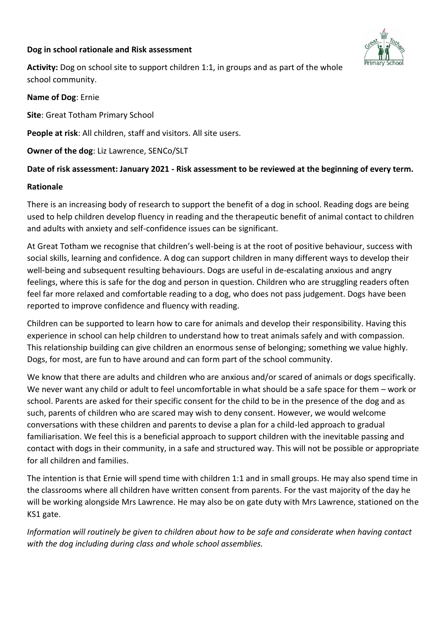## **Dog in school rationale and Risk assessment**



**Activity:** Dog on school site to support children 1:1, in groups and as part of the whole school community.

**Name of Dog**: Ernie

**Site**: Great Totham Primary School

**People at risk**: All children, staff and visitors. All site users.

**Owner of the dog**: Liz Lawrence, SENCo/SLT

## **Date of risk assessment: January 2021 - Risk assessment to be reviewed at the beginning of every term.**

### **Rationale**

There is an increasing body of research to support the benefit of a dog in school. Reading dogs are being used to help children develop fluency in reading and the therapeutic benefit of animal contact to children and adults with anxiety and self-confidence issues can be significant.

At Great Totham we recognise that children's well-being is at the root of positive behaviour, success with social skills, learning and confidence. A dog can support children in many different ways to develop their well-being and subsequent resulting behaviours. Dogs are useful in de-escalating anxious and angry feelings, where this is safe for the dog and person in question. Children who are struggling readers often feel far more relaxed and comfortable reading to a dog, who does not pass judgement. Dogs have been reported to improve confidence and fluency with reading.

Children can be supported to learn how to care for animals and develop their responsibility. Having this experience in school can help children to understand how to treat animals safely and with compassion. This relationship building can give children an enormous sense of belonging; something we value highly. Dogs, for most, are fun to have around and can form part of the school community.

We know that there are adults and children who are anxious and/or scared of animals or dogs specifically. We never want any child or adult to feel uncomfortable in what should be a safe space for them – work or school. Parents are asked for their specific consent for the child to be in the presence of the dog and as such, parents of children who are scared may wish to deny consent. However, we would welcome conversations with these children and parents to devise a plan for a child-led approach to gradual familiarisation. We feel this is a beneficial approach to support children with the inevitable passing and contact with dogs in their community, in a safe and structured way. This will not be possible or appropriate for all children and families.

The intention is that Ernie will spend time with children 1:1 and in small groups. He may also spend time in the classrooms where all children have written consent from parents. For the vast majority of the day he will be working alongside Mrs Lawrence. He may also be on gate duty with Mrs Lawrence, stationed on the KS1 gate.

*Information will routinely be given to children about how to be safe and considerate when having contact with the dog including during class and whole school assemblies.*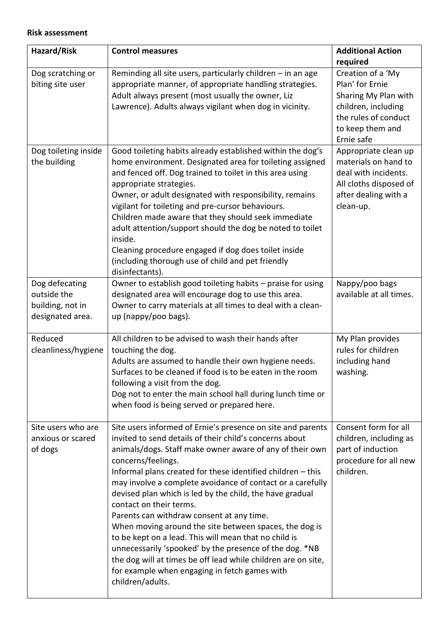### **Risk assessment**

| Hazard/Risk                                                           | <b>Control measures</b>                                                                                                                                                                                                                                                                                                                                                                                                                                                                                                                                                                                                                                                                                                                                                                       | <b>Additional Action</b>                                                                                                                      |
|-----------------------------------------------------------------------|-----------------------------------------------------------------------------------------------------------------------------------------------------------------------------------------------------------------------------------------------------------------------------------------------------------------------------------------------------------------------------------------------------------------------------------------------------------------------------------------------------------------------------------------------------------------------------------------------------------------------------------------------------------------------------------------------------------------------------------------------------------------------------------------------|-----------------------------------------------------------------------------------------------------------------------------------------------|
|                                                                       |                                                                                                                                                                                                                                                                                                                                                                                                                                                                                                                                                                                                                                                                                                                                                                                               | required                                                                                                                                      |
| Dog scratching or<br>biting site user                                 | Reminding all site users, particularly children - in an age<br>appropriate manner, of appropriate handling strategies.<br>Adult always present (most usually the owner, Liz<br>Lawrence). Adults always vigilant when dog in vicinity.                                                                                                                                                                                                                                                                                                                                                                                                                                                                                                                                                        | Creation of a 'My<br>Plan' for Ernie<br>Sharing My Plan with<br>children, including<br>the rules of conduct<br>to keep them and<br>Ernie safe |
| Dog toileting inside<br>the building                                  | Good toileting habits already established within the dog's<br>home environment. Designated area for toileting assigned<br>and fenced off. Dog trained to toilet in this area using<br>appropriate strategies.<br>Owner, or adult designated with responsibility, remains<br>vigilant for toileting and pre-cursor behaviours.<br>Children made aware that they should seek immediate<br>adult attention/support should the dog be noted to toilet<br>inside.<br>Cleaning procedure engaged if dog does toilet inside<br>(including thorough use of child and pet friendly<br>disinfectants).                                                                                                                                                                                                  | Appropriate clean up<br>materials on hand to<br>deal with incidents.<br>All cloths disposed of<br>after dealing with a<br>clean-up.           |
| Dog defecating<br>outside the<br>building, not in<br>designated area. | Owner to establish good toileting habits - praise for using<br>designated area will encourage dog to use this area.<br>Owner to carry materials at all times to deal with a clean-<br>up (nappy/poo bags).                                                                                                                                                                                                                                                                                                                                                                                                                                                                                                                                                                                    | Nappy/poo bags<br>available at all times.                                                                                                     |
| Reduced<br>cleanliness/hygiene                                        | All children to be advised to wash their hands after<br>touching the dog.<br>Adults are assumed to handle their own hygiene needs.<br>Surfaces to be cleaned if food is to be eaten in the room<br>following a visit from the dog.<br>Dog not to enter the main school hall during lunch time or<br>when food is being served or prepared here.                                                                                                                                                                                                                                                                                                                                                                                                                                               | My Plan provides<br>rules for children<br>including hand<br>washing.                                                                          |
| Site users who are<br>anxious or scared<br>of dogs                    | Site users informed of Ernie's presence on site and parents<br>invited to send details of their child's concerns about<br>animals/dogs. Staff make owner aware of any of their own<br>concerns/feelings.<br>Informal plans created for these identified children - this<br>may involve a complete avoidance of contact or a carefully<br>devised plan which is led by the child, the have gradual<br>contact on their terms.<br>Parents can withdraw consent at any time.<br>When moving around the site between spaces, the dog is<br>to be kept on a lead. This will mean that no child is<br>unnecessarily 'spooked' by the presence of the dog. *NB<br>the dog will at times be off lead while children are on site,<br>for example when engaging in fetch games with<br>children/adults. | Consent form for all<br>children, including as<br>part of induction<br>procedure for all new<br>children.                                     |